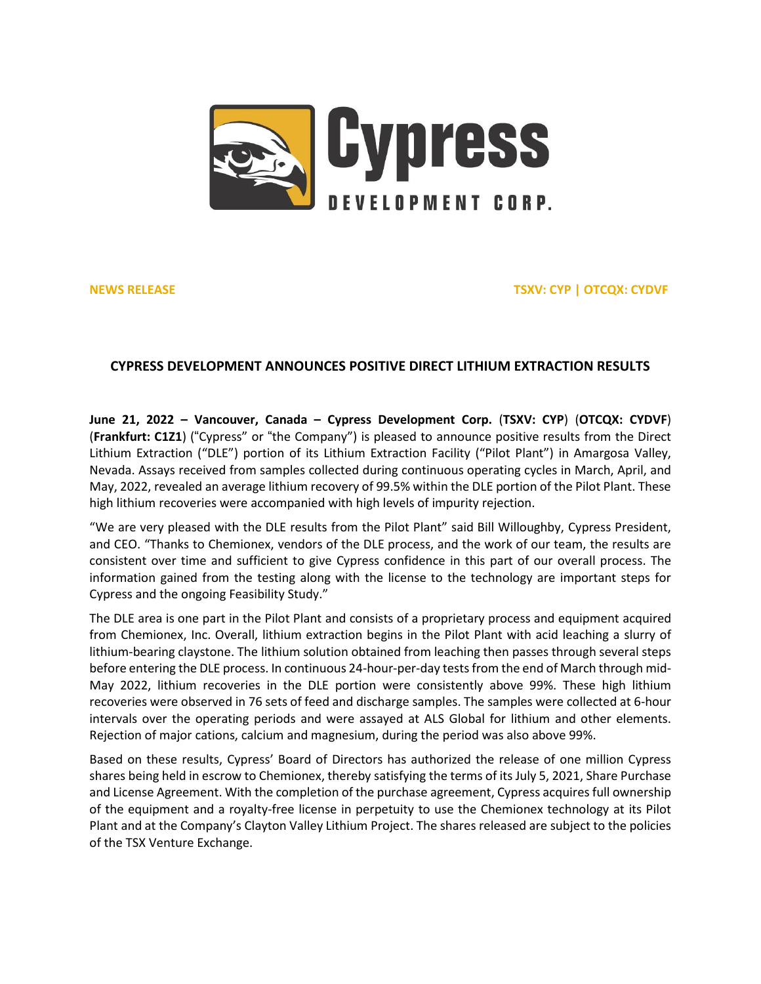

**NEWS RELEASE TSXV: CYP | OTCQX: CYDVF**

# **CYPRESS DEVELOPMENT ANNOUNCES POSITIVE DIRECT LITHIUM EXTRACTION RESULTS**

**June 21, 2022 – Vancouver, Canada – Cypress Development Corp.** (**TSXV: [CYP](https://money.tmx.com/en/quote/CYP)**) (**OTCQX: [CYDVF](https://www.otcmarkets.com/stock/CYDVF/overview)**) (**Frankfurt: [C1Z1](https://www.boerse-frankfurt.de/equity/cypress-development-corp)**) ("Cypress" or "the Company") is pleased to announce positive results from the Direct Lithium Extraction ("DLE") portion of its Lithium Extraction Facility ("Pilot Plant") in Amargosa Valley, Nevada. Assays received from samples collected during continuous operating cycles in March, April, and May, 2022, revealed an average lithium recovery of 99.5% within the DLE portion of the Pilot Plant. These high lithium recoveries were accompanied with high levels of impurity rejection.

"We are very pleased with the DLE results from the Pilot Plant" said Bill Willoughby, Cypress President, and CEO. "Thanks to Chemionex, vendors of the DLE process, and the work of our team, the results are consistent over time and sufficient to give Cypress confidence in this part of our overall process. The information gained from the testing along with the license to the technology are important steps for Cypress and the ongoing Feasibility Study."

The DLE area is one part in the Pilot Plant and consists of a proprietary process and equipment acquired from Chemionex, Inc. Overall, lithium extraction begins in the Pilot Plant with acid leaching a slurry of lithium-bearing claystone. The lithium solution obtained from leaching then passes through several steps before entering the DLE process. In continuous 24-hour-per-day testsfrom the end of March through mid-May 2022, lithium recoveries in the DLE portion were consistently above 99%. These high lithium recoveries were observed in 76 sets of feed and discharge samples. The samples were collected at 6-hour intervals over the operating periods and were assayed at ALS Global for lithium and other elements. Rejection of major cations, calcium and magnesium, during the period was also above 99%.

Based on these results, Cypress' Board of Directors has authorized the release of one million Cypress shares being held in escrow to Chemionex, thereby satisfying the terms of its July 5, 2021, Share Purchase and License Agreement. With the completion of the purchase agreement, Cypress acquiresfull ownership of the equipment and a royalty-free license in perpetuity to use the Chemionex technology at its Pilot Plant and at the Company's Clayton Valley Lithium Project. The shares released are subject to the policies of the TSX Venture Exchange.